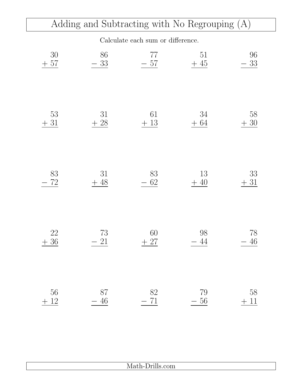|              | Adding and Subtracting with No Regrouping (A) |                                   |             |             |
|--------------|-----------------------------------------------|-----------------------------------|-------------|-------------|
|              |                                               | Calculate each sum or difference. |             |             |
| 30<br>57     | 86<br>33                                      | 77<br>$-57$                       | 51<br>$+45$ | 96<br>33    |
|              |                                               |                                   |             |             |
| 53<br>$31\,$ | 31<br>28                                      | 61<br>$+13$                       | 34<br>$+64$ | 58<br>$+30$ |
|              |                                               |                                   |             |             |
| 83<br>72     | 31<br>48                                      | 83<br>62                          | 13<br>$+40$ | 33<br>$+31$ |
|              |                                               |                                   |             |             |
| 22           | 73<br>21                                      | 60                                | 98          | 78<br>46    |
| $+36$        |                                               | $+27$                             | 44          |             |
| 56           | 87                                            | 82                                | 79          | 58          |
| $+\ 12$      | 46                                            | 71                                | $56\,$      | $+11$       |